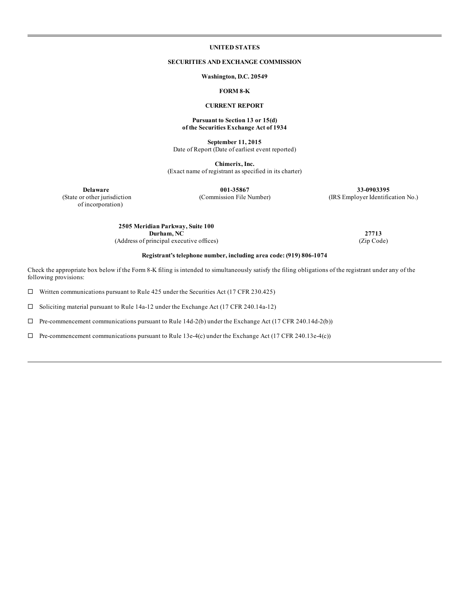# **UNITED STATES**

## **SECURITIES AND EXCHANGE COMMISSION**

**Washington, D.C. 20549**

### **FORM 8-K**

### **CURRENT REPORT**

#### **Pursuant to Section 13 or 15(d) of the Securities Exchange Act of 1934**

**September 11, 2015** Date of Report (Date of earliest event reported)

**Chimerix, Inc.** (Exact name of registrant as specified in its charter)

**Delaware 001-35867 33-0903395** (State or other jurisdiction (Commission File Number) (IRS Employer Identification No.)

of incorporation)

**2505 Meridian Parkway, Suite 100 Durham, NC 27713**<br> **27713 27713 27713 (Zip Code)** (Address of principal executive offices)

### **Registrant's telephone number, including area code: (919) 806-1074**

Check the appropriate box below if the Form 8-K filing is intended to simultaneously satisfy the filing obligations of the registrant under any of the following provisions:

 $\Box$  Written communications pursuant to Rule 425 under the Securities Act (17 CFR 230.425)

 $\square$  Soliciting material pursuant to Rule 14a-12 under the Exchange Act (17 CFR 240.14a-12)

 $\Box$  Pre-commencement communications pursuant to Rule 14d-2(b) under the Exchange Act (17 CFR 240.14d-2(b))

 $\Box$  Pre-commencement communications pursuant to Rule 13e-4(c) under the Exchange Act (17 CFR 240.13e-4(c))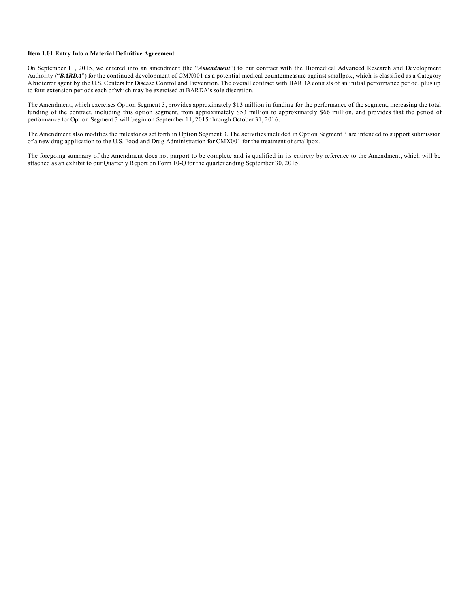#### **Item 1.01 Entry Into a Material Definitive Agreement.**

On September 11, 2015, we entered into an amendment (the "*Amendment*") to our contract with the Biomedical Advanced Research and Development Authority ("*BARDA*") for the continued development of CMX001 as a potential medical countermeasure against smallpox, which is classified as a Category Abioterror agent by the U.S. Centers for Disease Control and Prevention. The overall contract with BARDA consists of an initial performance period, plus up to four extension periods each of which may be exercised at BARDA's sole discretion.

The Amendment, which exercises Option Segment 3, provides approximately \$13 million in funding for the performance of the segment, increasing the total funding of the contract, including this option segment, from approximately \$53 million to approximately \$66 million, and provides that the period of performance for Option Segment 3 will begin on September 11, 2015 through October 31, 2016.

The Amendment also modifies the milestones set forth in Option Segment 3. The activities included in Option Segment 3 are intended to support submission of a new drug application to the U.S. Food and Drug Administration for CMX001 for the treatment of smallpox.

The foregoing summary of the Amendment does not purport to be complete and is qualified in its entirety by reference to the Amendment, which will be attached as an exhibit to our Quarterly Report on Form 10-Q for the quarter ending September 30, 2015.